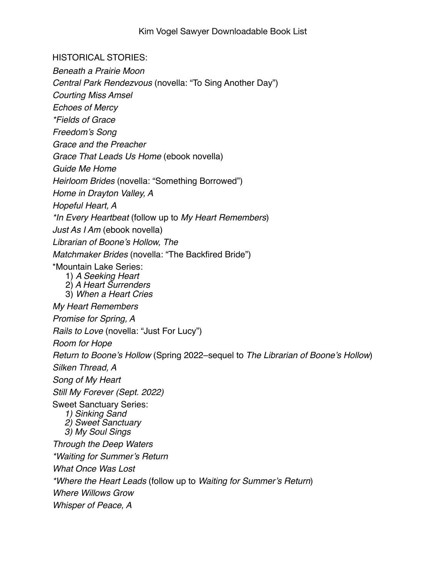HISTORICAL STORIES:

*Beneath a Prairie Moon*

*Central Park Rendezvous* (novella: "To Sing Another Day")

*Courting Miss Amsel*

*Echoes of Mercy* 

*\*Fields of Grace*

*Freedom's Song*

*Grace and the Preacher*

*Grace That Leads Us Home* (ebook novella)

*Guide Me Home* 

*Heirloom Brides* (novella: "Something Borrowed")

*Home in Drayton Valley, A*

*Hopeful Heart, A*

*\*In Every Heartbeat* (follow up to *My Heart Remembers*)

*Just As I Am* (ebook novella)

*Librarian of Boone's Hollow, The*

*Matchmaker Brides* (novella: "The Backfired Bride")

\*Mountain Lake Series:

1) *A Seeking Heart*

- 2) *A Heart Surrenders*
- 3) *When a Heart Cries*

*My Heart Remembers*

*Promise for Spring, A*

*Rails to Love* (novella: "Just For Lucy")

*Room for Hope*

*Return to Boone's Hollow* (Spring 2022–sequel to *The Librarian of Boone's Hollow*)

*Silken Thread, A*

*Song of My Heart Still My Forever (Sept. 2022)*

Sweet Sanctuary Series:

- *1) Sinking Sand*
- *2) Sweet Sanctuary*
- *3) My Soul Sings*

*Through the Deep Waters*

*\*Waiting for Summer's Return*

*What Once Was Lost*

*\*Where the Heart Leads* (follow up to *Waiting for Summer's Return*)

*Where Willows Grow*

*Whisper of Peace, A*